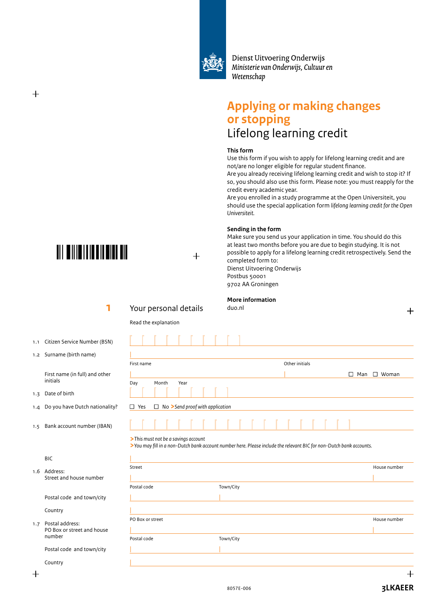

Dienst Uitvoering Onderwijs Ministerie van Onderwijs, Cultuur en Wetenschap

# **Applying or making changes or stopping** Lifelong learning credit

#### **This form**

Use this form if you wish to apply for lifelong learning credit and are not/are no longer eligible for regular student finance.

Are you already receiving lifelong learning credit and wish to stop it? If so, you should also use this form. Please note: you must reapply for the credit every academic year.

Are you enrolled in a study programme at the Open Universiteit, you should use the special application form *lifelong learning credit for the Open Universiteit.*

#### **Sending in the form**

Make sure you send us your application in time. You should do this at least two months before you are due to begin studying. It is not possible to apply for a lifelong learning credit retrospectively. Send the completed form to:

Dienst Uitvoering Onderwijs Postbus 50001 9702 AA Groningen

**More information**

┵

 $\Box$  Man  $\Box$  Woman



**TIL ONIOITIO DI ONO DI** 

# **1** Your personal details duo.nl

 $+$ 

Read the explanation

Day Month Year

- 1.1 Citizen Service Number (BSN)
- 1.2 Surname (birth name)

 First name (in full) and other initials

1.3 Date of birth

B<sub>IC</sub>

 $\overline{1}$ 

 $^{+}$ 

- 1.4 Do you have Dutch nationality?
- *1.5* Bank account number (IBAN)

#### **>***This must not be a savings account*

□ Yes □ No >*Send proof with application* 

**>***You may fill in a non-Dutch bank account number here. Please include the relevant BIC for non-Dutch bank accounts.*

|     | <b>BIL</b>                                    |                  |           |              |
|-----|-----------------------------------------------|------------------|-----------|--------------|
|     | 1.6 Address:<br>Street and house number       | Street           |           | House number |
|     |                                               |                  |           |              |
|     |                                               | Postal code      | Town/City |              |
|     | Postal code and town/city                     |                  |           |              |
|     | Country                                       |                  |           |              |
|     |                                               | PO Box or street |           | House number |
| 1.7 | Postal address:<br>PO Box or street and house |                  |           |              |
|     | number                                        | Postal code      | Town/City |              |
|     | Postal code and town/city                     |                  |           |              |
|     | Country                                       |                  |           |              |

First name **Other initials** 

L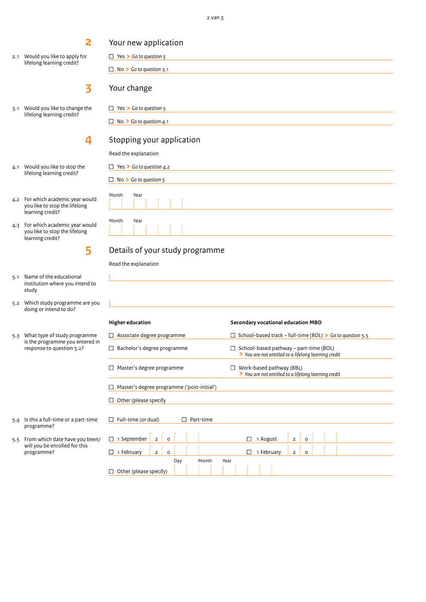2.1 Would you like to apply for lifelong learning credit?

**2**

- **3**
- 3.1 Would you like to change the lifelong learning credit?

# **4**

- 4.1 Would you like to stop the lifelong learning credit?
- 4.2 For which academic year would you like to stop the lifelong learning credit?
- 4.3 For which academic year would you like to stop the lifelong learning credit?

**5** 

- 5.1 Name of the educational institution where you intend to study
- 5.2 Which study programme are you doing or intend to do?
- 5.3 What type of study programme is the programme you entered in response to question 5.2?

<sup>n</sup> No **>** *Go to question 3.1* Your change □ Yes > Go to question 5 <sup>n</sup> No **>** *Go to question 4.1* Stopping your application Read the explanation □ Yes > Go to question 4.2 <sup>n</sup> No **>** *Go to question 5* Month Year L Month Year

# Details of your study programme

L

Read the explanation

|

Your new application

□ Yes > Go to question 5

| <b>Higher education</b>                           | Secondary vocational education MBO                                                                    |  |  |  |  |  |  |
|---------------------------------------------------|-------------------------------------------------------------------------------------------------------|--|--|--|--|--|--|
| $\Box$ Associate degree programme                 | $\Box$ School-based track – full-time (BOL) > Go to question 5.5                                      |  |  |  |  |  |  |
| $\Box$ Bachelor's degree programme                | $\Box$ School-based pathway – part-time (BOL)<br>> You are not entitled to a lifelong learning credit |  |  |  |  |  |  |
| $\Box$ Master's degree programme                  | Work-based pathway (BBL)<br>$\perp$<br>> You are not entitled to a lifelong learning credit           |  |  |  |  |  |  |
| $\Box$ Master's degree programme ('post-initial') |                                                                                                       |  |  |  |  |  |  |
| $\Box$ Other (please specify                      |                                                                                                       |  |  |  |  |  |  |
| $\Box$ Full-time (or dual)<br>Part-time           |                                                                                                       |  |  |  |  |  |  |
| $\Box$ 1 September<br>$\overline{2}$<br>$\Omega$  | 1 August<br>$\overline{2}$<br>$\Omega$                                                                |  |  |  |  |  |  |
| $\Box$ 1 February<br>$\overline{2}$<br>$\Omega$   | 1 February<br>П<br>$\overline{2}$<br>$\Omega$                                                         |  |  |  |  |  |  |
| Day<br>Month<br>$\Box$ Other (please specify)     | Year                                                                                                  |  |  |  |  |  |  |

- 
- 5.4 Is this a full-time or a part-time programme?
- 5.5 From which date have you been/ will you be enrolled for this programme?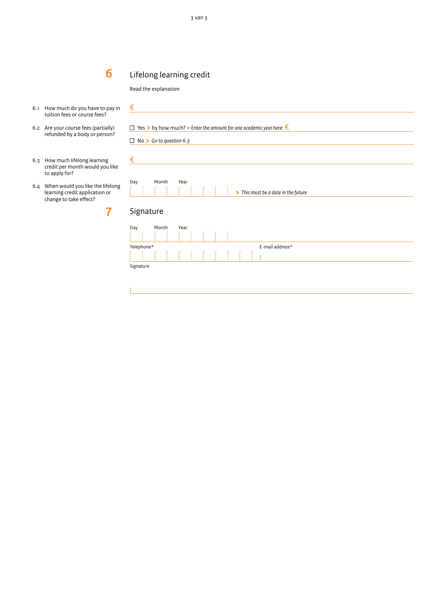#### **6 6 6** Lifelong learning credit

#### Read the explanation

- 6.1 How much do you have to pay in tuition fees or course fees?
- 6.2 Are your course fees (partially) refunded by a body or person?
- 6.3 How much lifelong learning credit per month would you like to apply for?
- 6.4 When would you like the lifelong learning credit application or change to take effect?

**7**

| €                |                                                                                                                       |      |  |                                     |                 |  |  |
|------------------|-----------------------------------------------------------------------------------------------------------------------|------|--|-------------------------------------|-----------------|--|--|
|                  | $\Box$ Yes > by how much? > Enter the amount for one academic year here: $\epsilon$<br>$\Box$ No > Go to question 6.3 |      |  |                                     |                 |  |  |
| €                |                                                                                                                       |      |  |                                     |                 |  |  |
| Day<br>Signature | Month                                                                                                                 | Year |  | > This must be a date in the future |                 |  |  |
| Day              | Month                                                                                                                 | Year |  |                                     |                 |  |  |
| Telephone*       |                                                                                                                       |      |  |                                     | E-mail address* |  |  |
| Signature        |                                                                                                                       |      |  |                                     |                 |  |  |
|                  |                                                                                                                       |      |  |                                     |                 |  |  |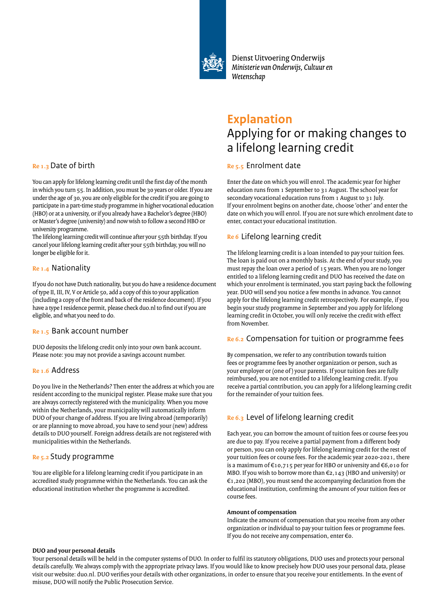

Dienst Uitvoering Onderwijs Ministerie van Onderwijs, Cultuur en Wetenschap

# **Explanation** Applying for or making changes to a lifelong learning credit

# **Re 5.5** Enrolment date

Enter the date on which you will enrol. The academic year for higher education runs from 1 September to 31 August. The school year for secondary vocational education runs from 1 August to 31 July. If your enrolment begins on another date, choose 'other' and enter the date on which you will enrol. If you are not sure which enrolment date to enter, contact your educational institution.

# **Re 6** Lifelong learning credit

The lifelong learning credit is a loan intended to pay your tuition fees. The loan is paid out on a monthly basis. At the end of your study, you must repay the loan over a period of 15 years. When you are no longer entitled to a lifelong learning credit and DUO has received the date on which your enrolment is terminated, you start paying back the following year. DUO will send you notice a few months in advance. You cannot apply for the lifelong learning credit retrospectively. For example, if you begin your study programme in September and you apply for lifelong learning credit in October, you will only receive the credit with effect from November.

## **Re 6.2** Compensation for tuition or programme fees

By compensation, we refer to any contribution towards tuition fees or programme fees by another organization or person, such as your employer or (one of) your parents. If your tuition fees are fully reimbursed, you are not entitled to a lifelong learning credit. If you receive a partial contribution, you can apply for a lifelong learning credit for the remainder of your tuition fees.

# **Re 6.3** Level of lifelong learning credit

Each year, you can borrow the amount of tuition fees or course fees you are due to pay. If you receive a partial payment from a different body or person, you can only apply for lifelong learning credit for the rest of your tuition fees or course fees. For the academic year 2020-2021, there is a maximum of €10,715 per year for HBO or university and €6,010 for MBO. If you wish to borrow more than €2,143 (HBO and university) or €1,202 (MBO), you must send the accompanying declaration from the educational institution, confirming the amount of your tuition fees or course fees.

### **Amount of compensation**

Indicate the amount of compensation that you receive from any other organization or individual to pay your tuition fees or programme fees. If you do not receive any compensation, enter  $\epsilon$ o.

## **Re 1.3** Date of birth

You can apply for lifelong learning credit until the first day of the month in which you turn 55. In addition, you must be 30 years or older. If you are under the age of 30, you are only eligible for the credit if you are going to participate in a part-time study programme in higher vocational education (HBO) or at a university, or if you already have a Bachelor's degree (HBO) or Master's degree (university) and now wish to follow a second HBO or university programme.

The lifelong learning credit will continue after your 55th birthday. If you cancel your lifelong learning credit after your 55th birthday, you will no longer be eligible for it.

# **Re 1.4** Nationality

If you do not have Dutch nationality, but you do have a residence document of type II, III, IV, V or Article 50, add a copy of this to your application (including a copy of the front and back of the residence document). If you have a type I residence permit, please check duo.nl to find out if you are eligible, and what you need to do.

### **Re 1.5** Bank account number

DUO deposits the lifelong credit only into your own bank account. Please note: you may not provide a savings account number.

## **Re 1.6** Address

Do you live in the Netherlands? Then enter the address at which you are resident according to the municipal register. Please make sure that you are always correctly registered with the municipality. When you move within the Netherlands, your municipality will automatically inform DUO of your change of address. If you are living abroad (temporarily) or are planning to move abroad, you have to send your (new) address details to DUO yourself. Foreign address details are not registered with municipalities within the Netherlands.

## **Re 5.2** Study programme

You are eligible for a lifelong learning credit if you participate in an accredited study programme within the Netherlands. You can ask the educational institution whether the programme is accredited.

#### **DUO and your personal details**

Your personal details will be held in the computer systems of DUO. In order to fulfil its statutory obligations, DUO uses and protects your personal details carefully. We always comply with the appropriate privacy laws. If you would like to know precisely how DUO uses your personal data, please visit our website: duo.nl. DUO verifies your details with other organizations, in order to ensure that you receive your entitlements. In the event of misuse, DUO will notify the Public Prosecution Service.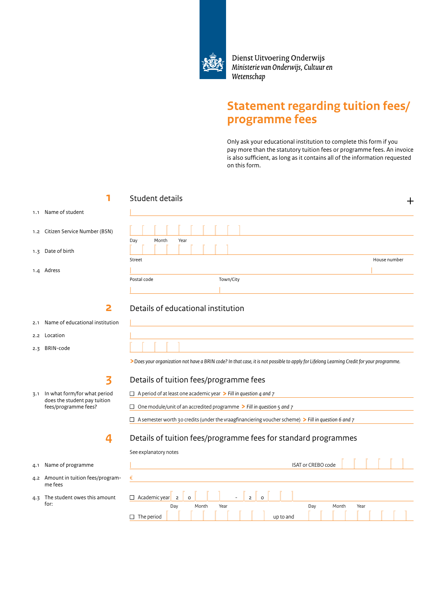

Dienst Uitvoering Onderwijs Ministerie van Onderwijs, Cultuur en Wetenschap

# **Statement regarding tuition fees/ programme fees**

Only ask your educational institution to complete this form if you pay more than the statutory tuition fees or programme fees. An invoice is also sufficient, as long as it contains all of the information requested on this form.

|     |                                                      | Student details<br>┿                                                                                                                              |  |  |  |  |  |  |
|-----|------------------------------------------------------|---------------------------------------------------------------------------------------------------------------------------------------------------|--|--|--|--|--|--|
|     | 1.1 Name of student                                  |                                                                                                                                                   |  |  |  |  |  |  |
|     | 1.2 Citizen Service Number (BSN)                     | Day<br>Month<br>Year                                                                                                                              |  |  |  |  |  |  |
|     | 1.3 Date of birth                                    |                                                                                                                                                   |  |  |  |  |  |  |
|     | 1.4 Adress                                           | Street<br>House number                                                                                                                            |  |  |  |  |  |  |
|     |                                                      | Town/City<br>Postal code                                                                                                                          |  |  |  |  |  |  |
|     |                                                      |                                                                                                                                                   |  |  |  |  |  |  |
|     |                                                      | Details of educational institution                                                                                                                |  |  |  |  |  |  |
| 2.1 | Name of educational institution                      |                                                                                                                                                   |  |  |  |  |  |  |
|     | 2.2 Location                                         |                                                                                                                                                   |  |  |  |  |  |  |
| 2.3 | BRIN-code                                            |                                                                                                                                                   |  |  |  |  |  |  |
|     |                                                      | > Does your organization not have a BRIN code? In that case, it is not possible to apply for Lifelong Learning Credit for your programme.         |  |  |  |  |  |  |
|     | 3                                                    | Details of tuition fees/programme fees                                                                                                            |  |  |  |  |  |  |
|     | 3.1 In what form/for what period                     | $\Box$ A period of at least one academic year $\triangleright$ Fill in question 4 and 7                                                           |  |  |  |  |  |  |
|     | does the student pay tuition<br>fees/programme fees? | $\Box$ One module/unit of an accredited programme > Fill in question 5 and 7                                                                      |  |  |  |  |  |  |
|     |                                                      | $\Box$ A semester worth 30 credits (under the vraagfinanciering voucher scheme) > Fill in question 6 and 7                                        |  |  |  |  |  |  |
|     | 4                                                    | Details of tuition fees/programme fees for standard programmes                                                                                    |  |  |  |  |  |  |
|     |                                                      | See explanatory notes                                                                                                                             |  |  |  |  |  |  |
|     | 4.1 Name of programme                                | <b>ISAT or CREBO code</b><br><u> 1989 - Johann Stein, marwolaethau a bhann an t-Amhair an t-Amhair an t-Amhair an t-Amhair an t-Amhair an t-A</u> |  |  |  |  |  |  |
|     | 4.2 Amount in tuition fees/program-<br>me fees       | €                                                                                                                                                 |  |  |  |  |  |  |
| 4.3 | The student owes this amount<br>for:                 | $\overline{2}$<br>$\Box$ Academic year 2<br>$\circ$<br>$\Omega$<br>Month<br>Year<br>Day<br>Month<br>Year<br>Day<br>$\Box$ The period<br>up to and |  |  |  |  |  |  |
|     |                                                      |                                                                                                                                                   |  |  |  |  |  |  |